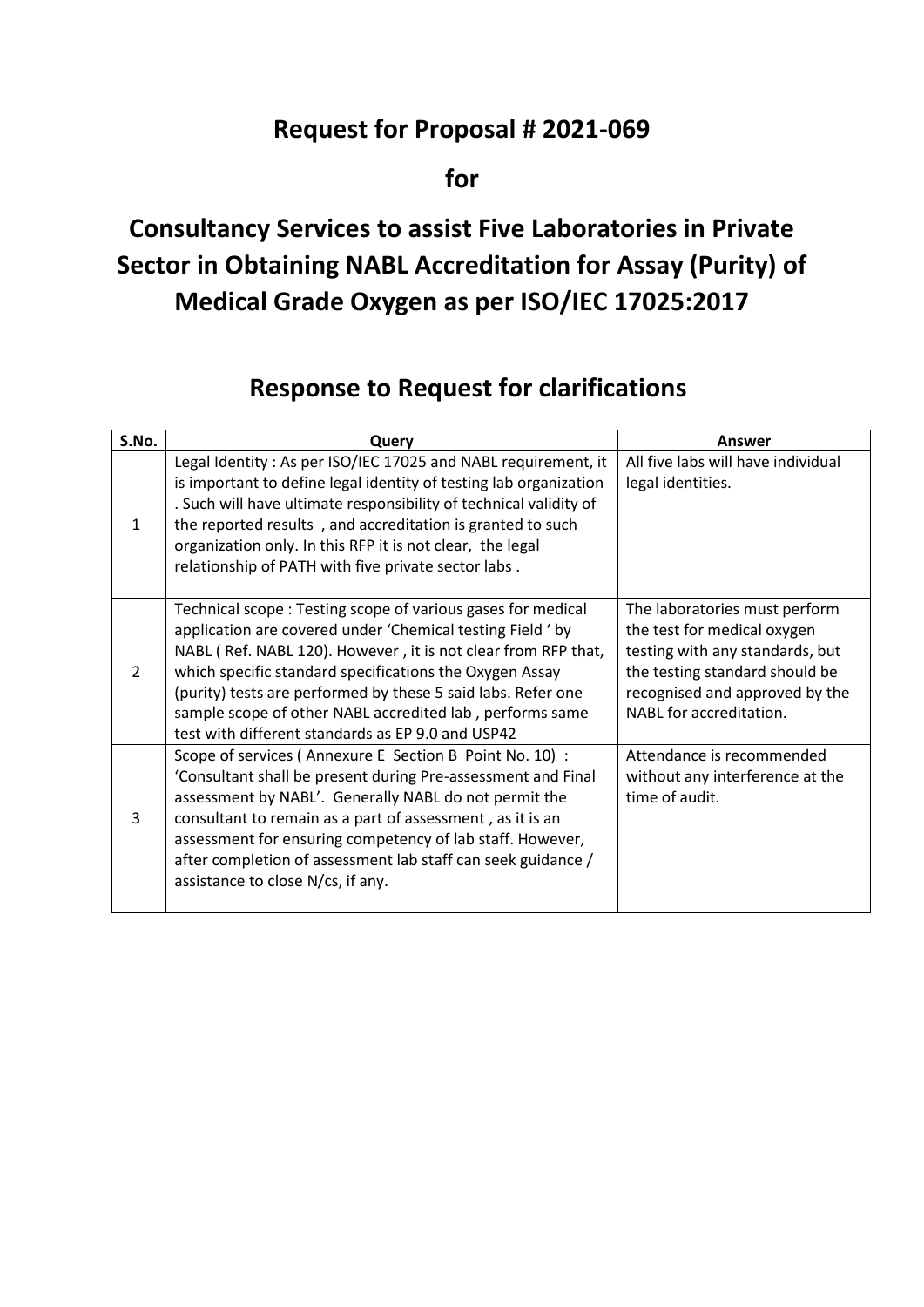## **Request for Proposal # 2021-069**

**for**

## **Consultancy Services to assist Five Laboratories in Private Sector in Obtaining NABL Accreditation for Assay (Purity) of Medical Grade Oxygen as per ISO/IEC 17025:2017**

## **Response to Request for clarifications**

| S.No.         | Query                                                                                                                                                                                                                                                                                                                                                                                                                                  | Answer                                                                                                                                                                                         |
|---------------|----------------------------------------------------------------------------------------------------------------------------------------------------------------------------------------------------------------------------------------------------------------------------------------------------------------------------------------------------------------------------------------------------------------------------------------|------------------------------------------------------------------------------------------------------------------------------------------------------------------------------------------------|
| 1             | Legal Identity: As per ISO/IEC 17025 and NABL requirement, it<br>is important to define legal identity of testing lab organization<br>. Such will have ultimate responsibility of technical validity of<br>the reported results, and accreditation is granted to such<br>organization only. In this RFP it is not clear, the legal<br>relationship of PATH with five private sector labs.                                              | All five labs will have individual<br>legal identities.                                                                                                                                        |
| $\mathcal{P}$ | Technical scope: Testing scope of various gases for medical<br>application are covered under 'Chemical testing Field ' by<br>NABL (Ref. NABL 120). However, it is not clear from RFP that,<br>which specific standard specifications the Oxygen Assay<br>(purity) tests are performed by these 5 said labs. Refer one<br>sample scope of other NABL accredited lab, performs same<br>test with different standards as EP 9.0 and USP42 | The laboratories must perform<br>the test for medical oxygen<br>testing with any standards, but<br>the testing standard should be<br>recognised and approved by the<br>NABL for accreditation. |
| 3             | Scope of services (Annexure E Section B Point No. 10) :<br>'Consultant shall be present during Pre-assessment and Final<br>assessment by NABL'. Generally NABL do not permit the<br>consultant to remain as a part of assessment, as it is an<br>assessment for ensuring competency of lab staff. However,<br>after completion of assessment lab staff can seek guidance /<br>assistance to close N/cs, if any.                        | Attendance is recommended<br>without any interference at the<br>time of audit.                                                                                                                 |